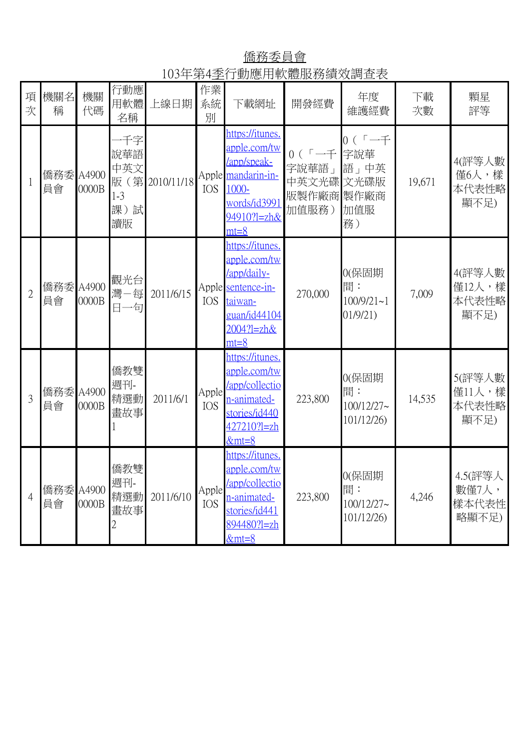僑務委員會 103年第4季行動應用軟體服務績效調查表

| 項<br>次         | 機關名<br>稱        | 機關<br>代碼       | 行動應<br>用軟體<br>名稱                               | 上線日期       | 作業<br>系統<br>別       | 下載網址                                                                                                                     | 開發經費                                               | 年度<br>維護經費                                      | 下載<br>次數 | 顆星<br>評等                           |
|----------------|-----------------|----------------|------------------------------------------------|------------|---------------------|--------------------------------------------------------------------------------------------------------------------------|----------------------------------------------------|-------------------------------------------------|----------|------------------------------------|
|                | 僑務委 A4900<br>員會 | 0000B          | 一千字<br>說華語<br>中英文<br>版(第<br>$1-3$<br>課)試<br>讀版 | 2010/11/18 | <b>IOS</b>          | https://itunes.<br>apple.com/tw<br>/app/speak-<br>Apple mandarin-in-<br>1000-<br>words/id3991<br>94910?1=zh&<br>$mt = 8$ | $0(5 - f)$<br>字說華語」<br>中英文光碟<br>版製作廠商製作廠商<br>加值服務) | $0 (r - 1)$<br>字說華<br>語」中英<br>文光碟版<br>加值服<br>務) | 19,671   | 4(評等人數<br>僅6人,樣<br>本代表性略<br>顯不足)   |
| $\overline{2}$ | 僑務委 A4900<br>員會 | 0000B          | 觀光台<br>灣一每<br>日一句                              | 2011/6/15  | <b>IOS</b>          | https://itunes.<br>apple.com/tw<br>/app/daily-<br>Apple sentence-in-<br>taiwan-<br>guan/id44104<br>2004?1=zh&<br>$mt=8$  | 270,000                                            | 0(保固期<br>間:<br>$100/9/21 - 1$<br>01/9/21)       | 7,009    | 4(評等人數<br>僅12人,樣<br>本代表性略<br>顯不足)  |
| 3              | 僑務委<br>員會       | A4900<br>0000B | 僑教雙<br>週刊-<br>精選動<br>畫故事                       | 2011/6/1   | Apple<br><b>IOS</b> | https://itunes.<br>apple.com/tw<br>/app/collectio<br><u>n-animated-</u><br>stories/id440<br>427210?l=zh<br>$&mt=8$       | 223,800                                            | 0(保固期<br>間:<br>$100/12/27$ ~<br>101/12/26)      | 14,535   | 5(評等人數<br>僅11人,樣<br>本代表性略<br>顯不足)  |
| $\overline{4}$ | 僑務委<br>員會       | A4900<br>0000B | 僑教雙<br>週刊-<br>精選動<br>畫故事                       | 2011/6/10  | Apple<br><b>IOS</b> | https://itunes.<br>apple.com/tw<br>/app/collectio<br>n-animated-<br>stories/id441<br>894480?l=zh<br>$&mt=8$              | 223,800                                            | 0(保固期<br>間:<br>100/12/27~<br>101/12/26)         | 4,246    | 4.5(評等人<br>數僅7人,<br>樣本代表性<br>略顯不足) |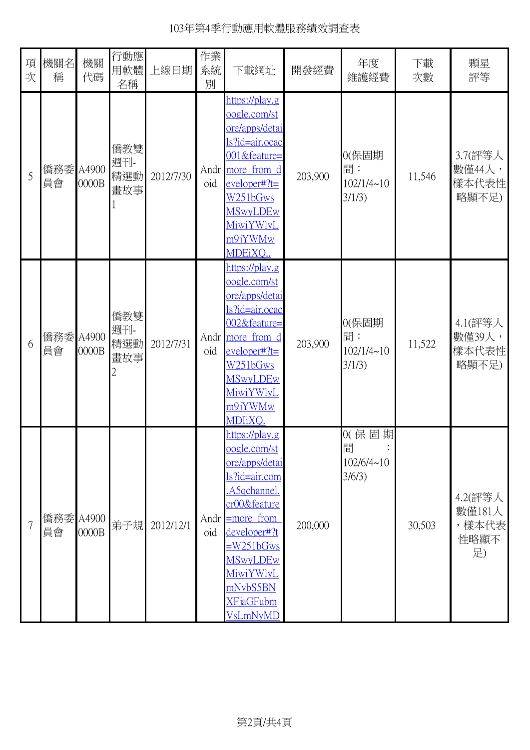## 103年第4季行動應用軟體服務績效調查表

| 項<br>次         | 機關名<br>稱        | 機關<br>代碼 | 行動應<br>用軟體<br>名稱         | 上線日期      | 作業<br>系統<br>別 | 下載網址                                                                                                                                                                                                                                                            | 開發經費    | 年度<br>維護經費                                 | 下載<br>次數 | 顆星<br>評等                                 |
|----------------|-----------------|----------|--------------------------|-----------|---------------|-----------------------------------------------------------------------------------------------------------------------------------------------------------------------------------------------------------------------------------------------------------------|---------|--------------------------------------------|----------|------------------------------------------|
| 5              | 僑務委 A4900<br>員會 | 0000B    | 僑教雙<br>週刊-<br>精選動<br>畫故事 | 2012/7/30 | oid           | https://play.g<br>oogle.com/st<br>ore/apps/detai<br><u>s?id=air.ocac</u><br>001&feature=<br>Andr more from d<br>eveloper#?t=<br>W251bGws<br><b>MSwyLDEw</b><br><u>MiwiYWlyL</u><br>m9jYWMw<br>MDEiXQ.                                                           | 203,900 | 0(保固期<br>間:<br>102/1/4~10<br>3/1/3)        | 11,546   | 3.7(評等人<br>數僅44人,<br>樣本代表性<br>略顯不足)      |
| 6              | 僑務委 A4900<br>員會 | 0000B    | 僑教雙<br>週刊-<br>精選動<br>畫故事 | 2012/7/31 | oid           | https://play.g<br>oogle.com/st<br>ore/apps/detai<br>s?id=air.ocac<br>002&feature=<br>Andr more from d<br>$e$ veloper#?t=<br>W251bGws<br><b>MSwyLDEw</b><br>MiwiYWlyL<br>m9jYWMw<br>MDIiXQ.                                                                      | 203,900 | 0(保固期<br>間:<br>$102/1/4 \sim 10$<br>3/1/3) | 11,522   | 4.1(評等人<br>數僅39人,<br>樣本代表性<br>略顯不足)      |
| $\overline{7}$ | 僑務委 A4900<br>員會 | 0000B    | 弟子規                      | 2012/12/1 | oid           | https://play.g<br>oogle.com/st<br>ore/apps/detai<br><u>s?id=air.com</u><br>A5qchannel.<br>cr00&feature<br>Andr $\equiv$ more from<br>developer#?t<br><u>=W251bGws</u><br><b>MSwyLDEw</b><br><b>MiwiYWlyL</b><br>mNvbS5BN<br><b>XFjaGFubm</b><br><b>VsLmNyMD</b> | 200,000 | 0(保固期<br>間<br>$102/6/4 \sim 10$<br>3/6/3)  | 30,503   | 4.2(評等人<br>數僅181人<br>,樣本代表<br>性略顯不<br>足) |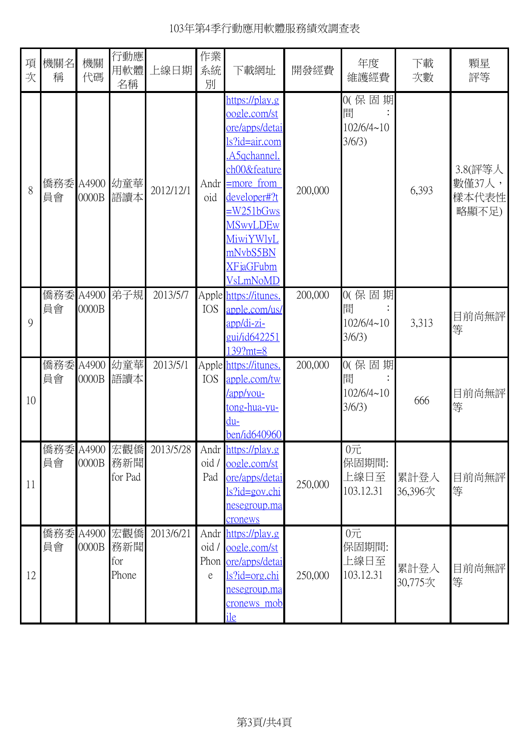| 項<br>次 | 機關名<br>稱        | 機關<br>代碼       | 行動應<br>用軟體<br>名稱                | 上線日期      | 作業<br>系統<br>別                     | 下載網址                                                                                                                                                                                                                                    | 開發經費    | 年度<br>維護經費                                | 下載<br>次數        | 顆星<br>評等                            |
|--------|-----------------|----------------|---------------------------------|-----------|-----------------------------------|-----------------------------------------------------------------------------------------------------------------------------------------------------------------------------------------------------------------------------------------|---------|-------------------------------------------|-----------------|-------------------------------------|
| 8      | 員會              | 0000B          | 僑務委 A4900 幼童華<br>語讀本            | 2012/12/1 | Andr<br>oid                       | https://play.g<br>oogle.com/st<br>ore/apps/detai<br>ls?id=air.com<br>A5 <sub>gchannel</sub><br>ch00&feature<br>$=$ more from<br>developer#?t<br>$=W251bGws$<br><b>MSwyLDEw</b><br>MiwiYWlyL<br>mNvbS5BN<br><b>XFjaGFubm</b><br>VsLmNoMD | 200,000 | 0(保固期<br>間<br>102/6/4~10<br>3/6/3)        | 6,393           | 3.8(評等人<br>數僅37人,<br>樣本代表性<br>略顯不足) |
| 9      | 員會              | 0000B          | 僑務委 A4900 弟子規                   | 2013/5/7  | <b>IOS</b>                        | Apple https://itunes.<br>apple.com/us/<br>app/di-zi-<br>gui/id642251<br>139?mt=8                                                                                                                                                        | 200,000 | 0(保固期<br>間<br>102/6/4~10<br>3/6/3)        | 3,313           | 目前尚無評<br>等                          |
| 10     | 僑務委 A4900<br>員會 | 0000B          | 幼童華<br>語讀本                      | 2013/5/1  | <b>IOS</b>                        | Apple https://itunes.<br>apple.com/tw<br>/app/you-<br><u>tong-hua-yu-</u><br>du-<br>ben/id640960                                                                                                                                        | 200,000 | 0(保固期<br>間<br>$102/6/4 \sim 10$<br>3/6/3) | 666             | 目前尚無評<br>等                          |
| 11     | 員會              | 0000B          | 僑務委 A4900 宏觀僑<br>務新聞<br>for Pad | 2013/5/28 | oid /<br>Pad                      | Andr https://play.g<br>oogle.com/st<br>ore/apps/detai<br>$ls?id = gov.chi$<br><u>nesegroup.ma</u><br>cronews                                                                                                                            | 250,000 | $0$ 元<br>保固期間:<br>上線日至<br>103.12.31       | 累計登入<br>36,396次 | 目前尚無評<br>等                          |
| 12     | 僑務委<br>員會       | A4900<br>0000B | 宏觀僑<br>務新聞<br>for<br>Phone      | 2013/6/21 | $oid / \blacksquare$<br>Phon<br>e | Andr https://play.g<br>oogle.com/st<br>ore/apps/detai<br>ls?id=org.chi<br><u>nesegroup.ma</u><br><u>cronews mob</u><br>ile                                                                                                              | 250,000 | $0$ 元<br>保固期間:<br>上線日至<br>103.12.31       | 累計登入<br>30,775次 | 目前尚無評<br>等                          |